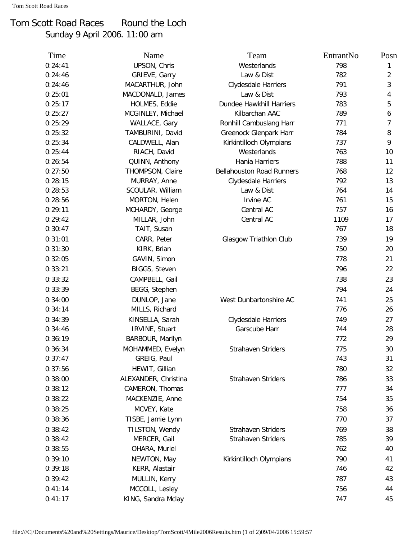## Tom Scott Road Races Round the Loch

Sunday 9 April 2006. 11:00 am

| Time    | Name                 | Team                             | EntrantNo | Posn           |
|---------|----------------------|----------------------------------|-----------|----------------|
| 0:24:41 | UPSON, Chris         | Westerlands                      | 798       | 1              |
| 0:24:46 | GRIEVE, Garry        | Law & Dist                       | 782       | $\overline{2}$ |
| 0:24:46 | MACARTHUR, John      | Clydesdale Harriers              | 791       | $\mathbf{3}$   |
| 0:25:01 | MACDONALD, James     | Law & Dist                       | 793       | $\overline{4}$ |
| 0:25:17 | HOLMES, Eddie        | Dundee Hawkhill Harriers         | 783       | 5              |
| 0:25:27 | MCGINLEY, Michael    | Kilbarchan AAC                   | 789       | 6              |
| 0:25:29 | WALLACE, Gary        | Ronhill Cambuslang Harr          | 771       | 7              |
| 0:25:32 | TAMBURINI, David     | Greenock Glenpark Harr           | 784       | 8              |
| 0:25:34 | CALDWELL, Alan       | Kirkintilloch Olympians          | 737       | 9              |
| 0:25:44 | RIACH, David         | Westerlands                      | 763       | 10             |
| 0:26:54 | QUINN, Anthony       | Hania Harriers                   | 788       | 11             |
| 0:27:50 | THOMPSON, Claire     | <b>Bellahouston Road Runners</b> | 768       | 12             |
| 0:28:15 | MURRAY, Anne         | Clydesdale Harriers              | 792       | 13             |
| 0:28:53 | SCOULAR, William     | Law & Dist                       | 764       | 14             |
| 0:28:56 | MORTON, Helen        | Irvine AC                        | 761       | 15             |
| 0:29:11 | MCHARDY, George      | Central AC                       | 757       | 16             |
| 0:29:42 | MILLAR, John         | Central AC                       | 1109      | 17             |
| 0:30:47 | TAIT, Susan          |                                  | 767       | 18             |
| 0:31:01 | CARR, Peter          | Glasgow Triathlon Club           | 739       | 19             |
| 0:31:30 | KIRK, Brian          |                                  | 750       | 20             |
| 0:32:05 | GAVIN, Simon         |                                  | 778       | 21             |
| 0:33:21 | BIGGS, Steven        |                                  | 796       | 22             |
| 0:33:32 | CAMPBELL, Gail       |                                  | 738       | 23             |
| 0:33:39 | BEGG, Stephen        |                                  | 794       | 24             |
| 0:34:00 | DUNLOP, Jane         | West Dunbartonshire AC           | 741       | 25             |
| 0:34:14 | MILLS, Richard       |                                  | 776       | 26             |
| 0:34:39 | KINSELLA, Sarah      | Clydesdale Harriers              | 749       | 27             |
| 0:34:46 | IRVINE, Stuart       | Garscube Harr                    | 744       | 28             |
| 0:36:19 | BARBOUR, Marilyn     |                                  | 772       | 29             |
| 0:36:34 | MOHAMMED, Evelyn     | Strahaven Striders               | 775       | 30             |
| 0:37:47 | GREIG, Paul          |                                  | 743       | 31             |
| 0:37:56 | HEWIT, Gillian       |                                  | 780       | 32             |
| 0:38:00 | ALEXANDER, Christina | <b>Strahaven Striders</b>        | 786       | 33             |
| 0:38:12 | CAMERON, Thomas      |                                  | 777       | 34             |
| 0:38:22 | MACKENZIE, Anne      |                                  | 754       | 35             |
| 0:38:25 | MCVEY, Kate          |                                  | 758       | 36             |
| 0:38:36 | TISBE, Jamie Lynn    |                                  | 770       | 37             |
| 0:38:42 | TILSTON, Wendy       | <b>Strahaven Striders</b>        | 769       | 38             |
| 0:38:42 | MERCER, Gail         | <b>Strahaven Striders</b>        | 785       | 39             |
| 0:38:55 | OHARA, Muriel        |                                  | 762       | 40             |
|         |                      |                                  |           |                |
| 0:39:10 | NEWTON, May          | Kirkintilloch Olympians          | 790       | 41             |
| 0:39:18 | KERR, Alastair       |                                  | 746       | 42             |
| 0:39:42 | MULLIN, Kerry        |                                  | 787       | 43             |
| 0:41:14 | MCCOLL, Lesley       |                                  | 756       | 44             |
| 0:41:17 | KING, Sandra Mclay   |                                  | 747       | 45             |